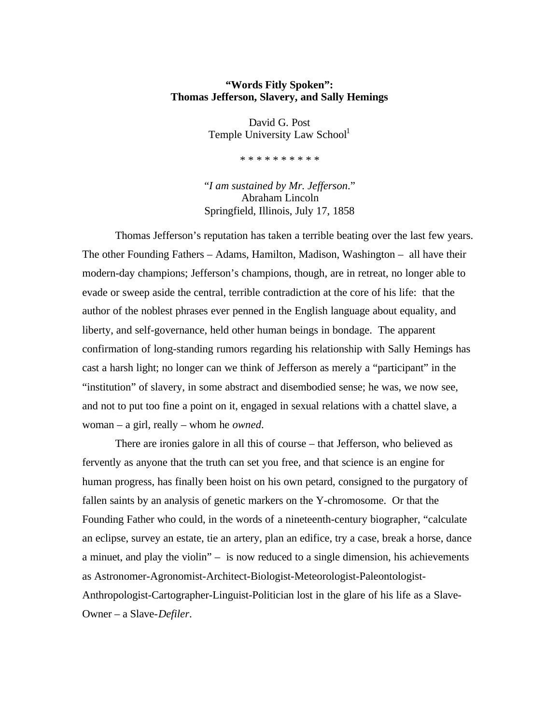## **"Words Fitly Spoken": Thomas Jefferson, Slavery, and Sally Hemings**

David G. Post Temple University Law School<sup>1</sup>

\* \* \* \* \* \* \* \* \* \*

"*I am sustained by Mr. Jefferson*." Abraham Lincoln Springfield, Illinois, July 17, 1858

Thomas Jefferson's reputation has taken a terrible beating over the last few years. The other Founding Fathers – Adams, Hamilton, Madison, Washington – all have their modern-day champions; Jefferson's champions, though, are in retreat, no longer able to evade or sweep aside the central, terrible contradiction at the core of his life: that the author of the noblest phrases ever penned in the English language about equality, and liberty, and self-governance, held other human beings in bondage. The apparent confirmation of long-standing rumors regarding his relationship with Sally Hemings has cast a harsh light; no longer can we think of Jefferson as merely a "participant" in the "institution" of slavery, in some abstract and disembodied sense; he was, we now see, and not to put too fine a point on it, engaged in sexual relations with a chattel slave, a woman – a girl, really – whom he *owned*.

There are ironies galore in all this of course – that Jefferson, who believed as fervently as anyone that the truth can set you free, and that science is an engine for human progress, has finally been hoist on his own petard, consigned to the purgatory of fallen saints by an analysis of genetic markers on the Y-chromosome. Or that the Founding Father who could, in the words of a nineteenth-century biographer, "calculate an eclipse, survey an estate, tie an artery, plan an edifice, try a case, break a horse, dance a minuet, and play the violin" – is now reduced to a single dimension, his achievements as Astronomer-Agronomist-Architect-Biologist-Meteorologist-Paleontologist-Anthropologist-Cartographer-Linguist-Politician lost in the glare of his life as a Slave-Owner – a Slave-*Defiler*.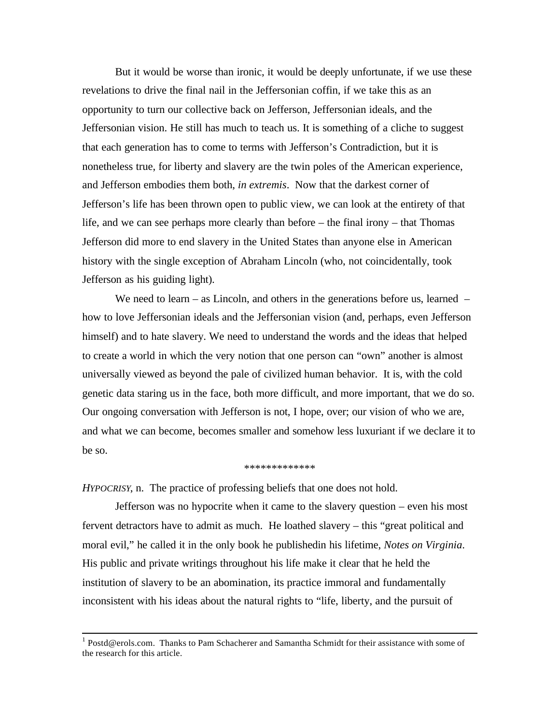But it would be worse than ironic, it would be deeply unfortunate, if we use these revelations to drive the final nail in the Jeffersonian coffin, if we take this as an opportunity to turn our collective back on Jefferson, Jeffersonian ideals, and the Jeffersonian vision. He still has much to teach us. It is something of a cliche to suggest that each generation has to come to terms with Jefferson's Contradiction, but it is nonetheless true, for liberty and slavery are the twin poles of the American experience, and Jefferson embodies them both, *in extremis*. Now that the darkest corner of Jefferson's life has been thrown open to public view, we can look at the entirety of that life, and we can see perhaps more clearly than before – the final irony – that Thomas Jefferson did more to end slavery in the United States than anyone else in American history with the single exception of Abraham Lincoln (who, not coincidentally, took Jefferson as his guiding light).

We need to learn – as Lincoln, and others in the generations before us, learned  $$ how to love Jeffersonian ideals and the Jeffersonian vision (and, perhaps, even Jefferson himself) and to hate slavery. We need to understand the words and the ideas that helped to create a world in which the very notion that one person can "own" another is almost universally viewed as beyond the pale of civilized human behavior. It is, with the cold genetic data staring us in the face, both more difficult, and more important, that we do so. Our ongoing conversation with Jefferson is not, I hope, over; our vision of who we are, and what we can become, becomes smaller and somehow less luxuriant if we declare it to be so.

## \*\*\*\*\*\*\*\*\*\*\*\*\*

*HYPOCRISY*, n. The practice of professing beliefs that one does not hold.

l

Jefferson was no hypocrite when it came to the slavery question – even his most fervent detractors have to admit as much. He loathed slavery – this "great political and moral evil," he called it in the only book he publishedin his lifetime, *Notes on Virginia*. His public and private writings throughout his life make it clear that he held the institution of slavery to be an abomination, its practice immoral and fundamentally inconsistent with his ideas about the natural rights to "life, liberty, and the pursuit of

<sup>&</sup>lt;sup>1</sup> Postd@erols.com. Thanks to Pam Schacherer and Samantha Schmidt for their assistance with some of the research for this article.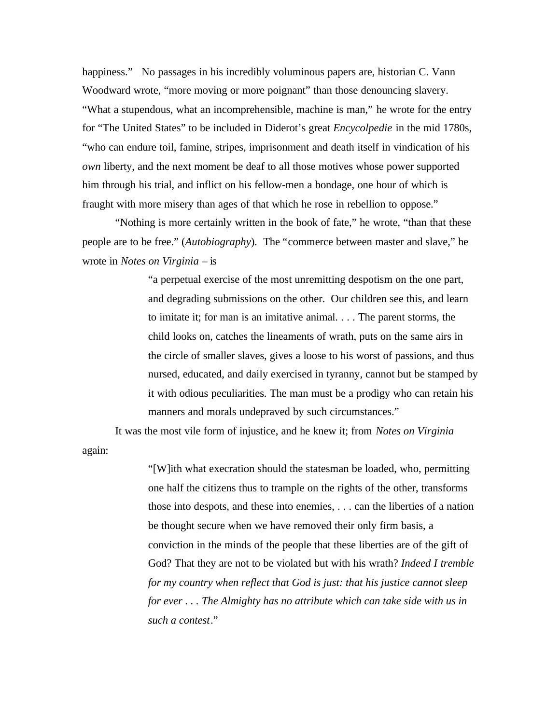happiness." No passages in his incredibly voluminous papers are, historian C. Vann Woodward wrote, "more moving or more poignant" than those denouncing slavery. "What a stupendous, what an incomprehensible, machine is man," he wrote for the entry for "The United States" to be included in Diderot's great *Encycolpedie* in the mid 1780s, "who can endure toil, famine, stripes, imprisonment and death itself in vindication of his *own* liberty, and the next moment be deaf to all those motives whose power supported him through his trial, and inflict on his fellow-men a bondage, one hour of which is fraught with more misery than ages of that which he rose in rebellion to oppose."

"Nothing is more certainly written in the book of fate," he wrote, "than that these people are to be free." (*Autobiography*). The "commerce between master and slave," he wrote in *Notes on Virginia* – is

> "a perpetual exercise of the most unremitting despotism on the one part, and degrading submissions on the other. Our children see this, and learn to imitate it; for man is an imitative animal. . . . The parent storms, the child looks on, catches the lineaments of wrath, puts on the same airs in the circle of smaller slaves, gives a loose to his worst of passions, and thus nursed, educated, and daily exercised in tyranny, cannot but be stamped by it with odious peculiarities. The man must be a prodigy who can retain his manners and morals undepraved by such circumstances."

It was the most vile form of injustice, and he knew it; from *Notes on Virginia* again:

> "[W]ith what execration should the statesman be loaded, who, permitting one half the citizens thus to trample on the rights of the other, transforms those into despots, and these into enemies, . . . can the liberties of a nation be thought secure when we have removed their only firm basis, a conviction in the minds of the people that these liberties are of the gift of God? That they are not to be violated but with his wrath? *Indeed I tremble for my country when reflect that God is just: that his justice cannot sleep for ever . . . The Almighty has no attribute which can take side with us in such a contest*."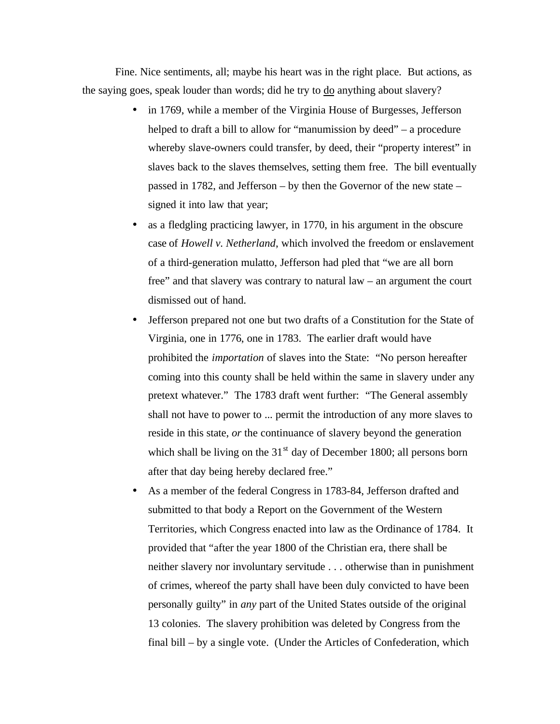Fine. Nice sentiments, all; maybe his heart was in the right place. But actions, as the saying goes, speak louder than words; did he try to do anything about slavery?

- in 1769, while a member of the Virginia House of Burgesses, Jefferson helped to draft a bill to allow for "manumission by deed" – a procedure whereby slave-owners could transfer, by deed, their "property interest" in slaves back to the slaves themselves, setting them free. The bill eventually passed in 1782, and Jefferson – by then the Governor of the new state – signed it into law that year;
- as a fledgling practicing lawyer, in 1770, in his argument in the obscure case of *Howell v. Netherland*, which involved the freedom or enslavement of a third-generation mulatto, Jefferson had pled that "we are all born free" and that slavery was contrary to natural law – an argument the court dismissed out of hand.
- Jefferson prepared not one but two drafts of a Constitution for the State of Virginia, one in 1776, one in 1783. The earlier draft would have prohibited the *importation* of slaves into the State: "No person hereafter coming into this county shall be held within the same in slavery under any pretext whatever." The 1783 draft went further: "The General assembly shall not have to power to ... permit the introduction of any more slaves to reside in this state, *or* the continuance of slavery beyond the generation which shall be living on the  $31<sup>st</sup>$  day of December 1800; all persons born after that day being hereby declared free."
- As a member of the federal Congress in 1783-84, Jefferson drafted and submitted to that body a Report on the Government of the Western Territories, which Congress enacted into law as the Ordinance of 1784. It provided that "after the year 1800 of the Christian era, there shall be neither slavery nor involuntary servitude . . . otherwise than in punishment of crimes, whereof the party shall have been duly convicted to have been personally guilty" in *any* part of the United States outside of the original 13 colonies. The slavery prohibition was deleted by Congress from the final bill – by a single vote. (Under the Articles of Confederation, which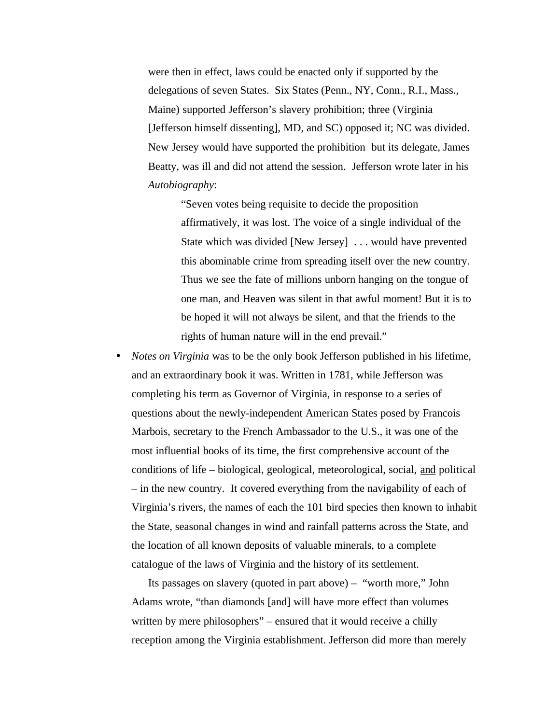were then in effect, laws could be enacted only if supported by the delegations of seven States. Six States (Penn., NY, Conn., R.I., Mass., Maine) supported Jefferson's slavery prohibition; three (Virginia [Jefferson himself dissenting], MD, and SC) opposed it; NC was divided. New Jersey would have supported the prohibition but its delegate, James Beatty, was ill and did not attend the session. Jefferson wrote later in his *Autobiography*:

"Seven votes being requisite to decide the proposition affirmatively, it was lost. The voice of a single individual of the State which was divided [New Jersey] . . . would have prevented this abominable crime from spreading itself over the new country. Thus we see the fate of millions unborn hanging on the tongue of one man, and Heaven was silent in that awful moment! But it is to be hoped it will not always be silent, and that the friends to the rights of human nature will in the end prevail."

• *Notes on Virginia* was to be the only book Jefferson published in his lifetime, and an extraordinary book it was. Written in 1781, while Jefferson was completing his term as Governor of Virginia, in response to a series of questions about the newly-independent American States posed by Francois Marbois, secretary to the French Ambassador to the U.S., it was one of the most influential books of its time, the first comprehensive account of the conditions of life – biological, geological, meteorological, social, and political – in the new country. It covered everything from the navigability of each of Virginia's rivers, the names of each the 101 bird species then known to inhabit the State, seasonal changes in wind and rainfall patterns across the State, and the location of all known deposits of valuable minerals, to a complete catalogue of the laws of Virginia and the history of its settlement.

Its passages on slavery (quoted in part above) – "worth more," John Adams wrote, "than diamonds [and] will have more effect than volumes written by mere philosophers" – ensured that it would receive a chilly reception among the Virginia establishment. Jefferson did more than merely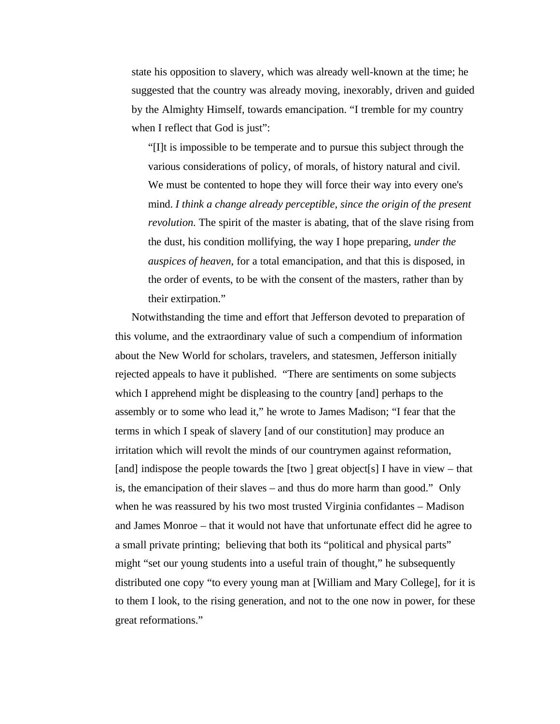state his opposition to slavery, which was already well-known at the time; he suggested that the country was already moving, inexorably, driven and guided by the Almighty Himself, towards emancipation. "I tremble for my country when I reflect that God is just":

"[I]t is impossible to be temperate and to pursue this subject through the various considerations of policy, of morals, of history natural and civil. We must be contented to hope they will force their way into every one's mind. *I think a change already perceptible, since the origin of the present revolution.* The spirit of the master is abating, that of the slave rising from the dust, his condition mollifying, the way I hope preparing, *under the auspices of heaven*, for a total emancipation, and that this is disposed, in the order of events, to be with the consent of the masters, rather than by their extirpation."

Notwithstanding the time and effort that Jefferson devoted to preparation of this volume, and the extraordinary value of such a compendium of information about the New World for scholars, travelers, and statesmen, Jefferson initially rejected appeals to have it published. "There are sentiments on some subjects which I apprehend might be displeasing to the country [and] perhaps to the assembly or to some who lead it," he wrote to James Madison; "I fear that the terms in which I speak of slavery [and of our constitution] may produce an irritation which will revolt the minds of our countrymen against reformation, [and] indispose the people towards the [two ] great object[s] I have in view – that is, the emancipation of their slaves – and thus do more harm than good." Only when he was reassured by his two most trusted Virginia confidantes – Madison and James Monroe – that it would not have that unfortunate effect did he agree to a small private printing; believing that both its "political and physical parts" might "set our young students into a useful train of thought," he subsequently distributed one copy "to every young man at [William and Mary College], for it is to them I look, to the rising generation, and not to the one now in power, for these great reformations."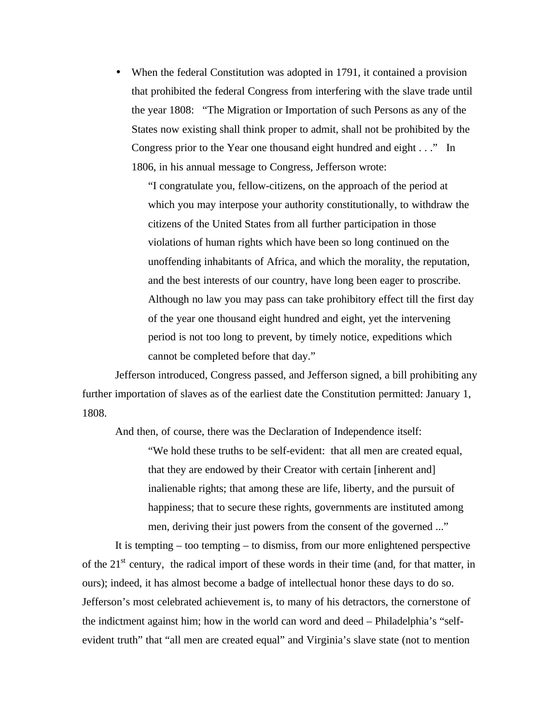• When the federal Constitution was adopted in 1791, it contained a provision that prohibited the federal Congress from interfering with the slave trade until the year 1808: "The Migration or Importation of such Persons as any of the States now existing shall think proper to admit, shall not be prohibited by the Congress prior to the Year one thousand eight hundred and eight . . ." In 1806, in his annual message to Congress, Jefferson wrote:

"I congratulate you, fellow-citizens, on the approach of the period at which you may interpose your authority constitutionally, to withdraw the citizens of the United States from all further participation in those violations of human rights which have been so long continued on the unoffending inhabitants of Africa, and which the morality, the reputation, and the best interests of our country, have long been eager to proscribe. Although no law you may pass can take prohibitory effect till the first day of the year one thousand eight hundred and eight, yet the intervening period is not too long to prevent, by timely notice, expeditions which cannot be completed before that day."

Jefferson introduced, Congress passed, and Jefferson signed, a bill prohibiting any further importation of slaves as of the earliest date the Constitution permitted: January 1, 1808.

And then, of course, there was the Declaration of Independence itself: "We hold these truths to be self-evident: that all men are created equal, that they are endowed by their Creator with certain [inherent and] inalienable rights; that among these are life, liberty, and the pursuit of happiness; that to secure these rights, governments are instituted among men, deriving their just powers from the consent of the governed ..."

It is tempting – too tempting – to dismiss, from our more enlightened perspective of the  $21<sup>st</sup>$  century, the radical import of these words in their time (and, for that matter, in ours); indeed, it has almost become a badge of intellectual honor these days to do so. Jefferson's most celebrated achievement is, to many of his detractors, the cornerstone of the indictment against him; how in the world can word and deed – Philadelphia's "selfevident truth" that "all men are created equal" and Virginia's slave state (not to mention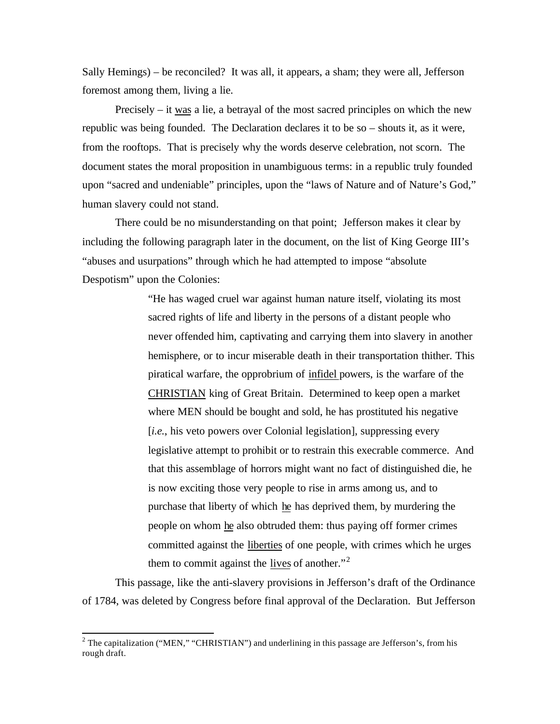Sally Hemings) – be reconciled? It was all, it appears, a sham; they were all, Jefferson foremost among them, living a lie.

Precisely – it was a lie, a betrayal of the most sacred principles on which the new republic was being founded. The Declaration declares it to be so – shouts it, as it were, from the rooftops. That is precisely why the words deserve celebration, not scorn. The document states the moral proposition in unambiguous terms: in a republic truly founded upon "sacred and undeniable" principles, upon the "laws of Nature and of Nature's God," human slavery could not stand.

There could be no misunderstanding on that point; Jefferson makes it clear by including the following paragraph later in the document, on the list of King George III's "abuses and usurpations" through which he had attempted to impose "absolute Despotism" upon the Colonies:

> "He has waged cruel war against human nature itself, violating its most sacred rights of life and liberty in the persons of a distant people who never offended him, captivating and carrying them into slavery in another hemisphere, or to incur miserable death in their transportation thither. This piratical warfare, the opprobrium of infidel powers, is the warfare of the CHRISTIAN king of Great Britain. Determined to keep open a market where MEN should be bought and sold, he has prostituted his negative [*i.e.*, his veto powers over Colonial legislation], suppressing every legislative attempt to prohibit or to restrain this execrable commerce. And that this assemblage of horrors might want no fact of distinguished die, he is now exciting those very people to rise in arms among us, and to purchase that liberty of which he has deprived them, by murdering the people on whom he also obtruded them: thus paying off former crimes committed against the liberties of one people, with crimes which he urges them to commit against the lives of another. $12$

This passage, like the anti-slavery provisions in Jefferson's draft of the Ordinance of 1784, was deleted by Congress before final approval of the Declaration. But Jefferson

l

<sup>&</sup>lt;sup>2</sup> The capitalization ("MEN," "CHRISTIAN") and underlining in this passage are Jefferson's, from his rough draft.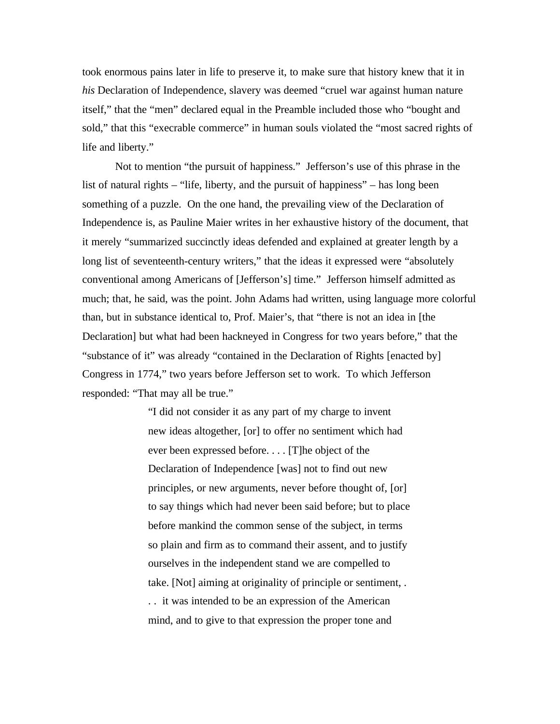took enormous pains later in life to preserve it, to make sure that history knew that it in *his* Declaration of Independence, slavery was deemed "cruel war against human nature itself," that the "men" declared equal in the Preamble included those who "bought and sold," that this "execrable commerce" in human souls violated the "most sacred rights of life and liberty."

Not to mention "the pursuit of happiness." Jefferson's use of this phrase in the list of natural rights – "life, liberty, and the pursuit of happiness" – has long been something of a puzzle. On the one hand, the prevailing view of the Declaration of Independence is, as Pauline Maier writes in her exhaustive history of the document, that it merely "summarized succinctly ideas defended and explained at greater length by a long list of seventeenth-century writers," that the ideas it expressed were "absolutely conventional among Americans of [Jefferson's] time." Jefferson himself admitted as much; that, he said, was the point. John Adams had written, using language more colorful than, but in substance identical to, Prof. Maier's, that "there is not an idea in [the Declaration] but what had been hackneyed in Congress for two years before," that the "substance of it" was already "contained in the Declaration of Rights [enacted by] Congress in 1774," two years before Jefferson set to work. To which Jefferson responded: "That may all be true."

> "I did not consider it as any part of my charge to invent new ideas altogether, [or] to offer no sentiment which had ever been expressed before. . . . [T]he object of the Declaration of Independence [was] not to find out new principles, or new arguments, never before thought of, [or] to say things which had never been said before; but to place before mankind the common sense of the subject, in terms so plain and firm as to command their assent, and to justify ourselves in the independent stand we are compelled to take. [Not] aiming at originality of principle or sentiment, .

. . it was intended to be an expression of the American mind, and to give to that expression the proper tone and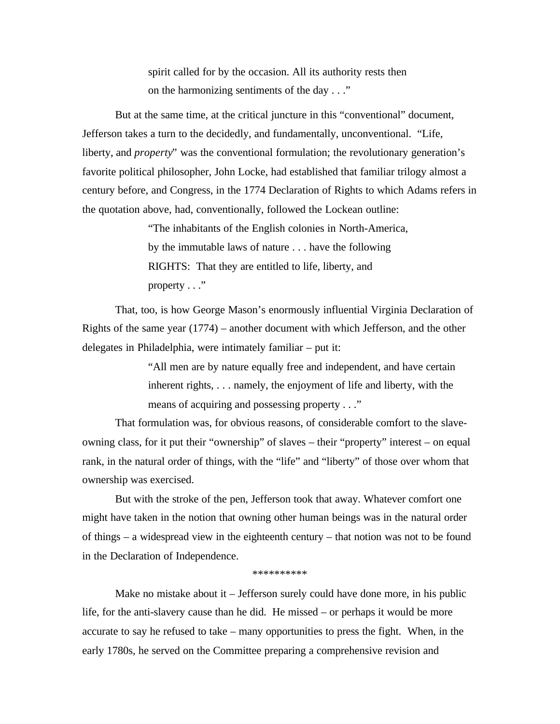spirit called for by the occasion. All its authority rests then on the harmonizing sentiments of the day . . ."

But at the same time, at the critical juncture in this "conventional" document, Jefferson takes a turn to the decidedly, and fundamentally, unconventional. "Life, liberty, and *property*" was the conventional formulation; the revolutionary generation's favorite political philosopher, John Locke, had established that familiar trilogy almost a century before, and Congress, in the 1774 Declaration of Rights to which Adams refers in the quotation above, had, conventionally, followed the Lockean outline:

> "The inhabitants of the English colonies in North-America, by the immutable laws of nature . . . have the following RIGHTS: That they are entitled to life, liberty, and property  $\dots$ "

That, too, is how George Mason's enormously influential Virginia Declaration of Rights of the same year (1774) – another document with which Jefferson, and the other delegates in Philadelphia, were intimately familiar – put it:

> "All men are by nature equally free and independent, and have certain inherent rights, . . . namely, the enjoyment of life and liberty, with the means of acquiring and possessing property . . ."

That formulation was, for obvious reasons, of considerable comfort to the slaveowning class, for it put their "ownership" of slaves – their "property" interest – on equal rank, in the natural order of things, with the "life" and "liberty" of those over whom that ownership was exercised.

But with the stroke of the pen, Jefferson took that away. Whatever comfort one might have taken in the notion that owning other human beings was in the natural order of things – a widespread view in the eighteenth century – that notion was not to be found in the Declaration of Independence.

## \*\*\*\*\*\*\*\*\*\*

Make no mistake about it – Jefferson surely could have done more, in his public life, for the anti-slavery cause than he did. He missed – or perhaps it would be more accurate to say he refused to take – many opportunities to press the fight. When, in the early 1780s, he served on the Committee preparing a comprehensive revision and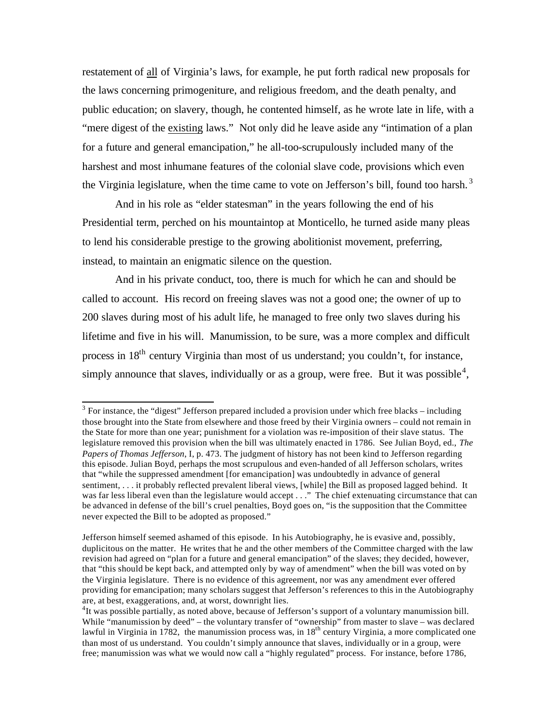restatement of all of Virginia's laws, for example, he put forth radical new proposals for the laws concerning primogeniture, and religious freedom, and the death penalty, and public education; on slavery, though, he contented himself, as he wrote late in life, with a "mere digest of the existing laws." Not only did he leave aside any "intimation of a plan for a future and general emancipation," he all-too-scrupulously included many of the harshest and most inhumane features of the colonial slave code, provisions which even the Virginia legislature, when the time came to vote on Jefferson's bill, found too harsh.<sup>3</sup>

And in his role as "elder statesman" in the years following the end of his Presidential term, perched on his mountaintop at Monticello, he turned aside many pleas to lend his considerable prestige to the growing abolitionist movement, preferring, instead, to maintain an enigmatic silence on the question.

And in his private conduct, too, there is much for which he can and should be called to account. His record on freeing slaves was not a good one; the owner of up to 200 slaves during most of his adult life, he managed to free only two slaves during his lifetime and five in his will. Manumission, to be sure, was a more complex and difficult process in 18th century Virginia than most of us understand; you couldn't, for instance, simply announce that slaves, individually or as a group, were free. But it was possible<sup>4</sup>,

l

 $3$  For instance, the "digest" Jefferson prepared included a provision under which free blacks – including those brought into the State from elsewhere and those freed by their Virginia owners – could not remain in the State for more than one year; punishment for a violation was re-imposition of their slave status. The legislature removed this provision when the bill was ultimately enacted in 1786. See Julian Boyd, ed., *The Papers of Thomas Jefferson*, I, p. 473. The judgment of history has not been kind to Jefferson regarding this episode. Julian Boyd, perhaps the most scrupulous and even-handed of all Jefferson scholars, writes that "while the suppressed amendment [for emancipation] was undoubtedly in advance of general sentiment, . . . it probably reflected prevalent liberal views, [while] the Bill as proposed lagged behind. It was far less liberal even than the legislature would accept . . ." The chief extenuating circumstance that can be advanced in defense of the bill's cruel penalties, Boyd goes on, "is the supposition that the Committee never expected the Bill to be adopted as proposed."

Jefferson himself seemed ashamed of this episode. In his Autobiography, he is evasive and, possibly, duplicitous on the matter. He writes that he and the other members of the Committee charged with the law revision had agreed on "plan for a future and general emancipation" of the slaves; they decided, however, that "this should be kept back, and attempted only by way of amendment" when the bill was voted on by the Virginia legislature. There is no evidence of this agreement, nor was any amendment ever offered providing for emancipation; many scholars suggest that Jefferson's references to this in the Autobiography are, at best, exaggerations, and, at worst, downright lies.

<sup>&</sup>lt;sup>4</sup>It was possible partially, as noted above, because of Jefferson's support of a voluntary manumission bill. While "manumission by deed" – the voluntary transfer of "ownership" from master to slave – was declared lawful in Virginia in 1782, the manumission process was, in  $18<sup>th</sup>$  century Virginia, a more complicated one than most of us understand. You couldn't simply announce that slaves, individually or in a group, were free; manumission was what we would now call a "highly regulated" process. For instance, before 1786,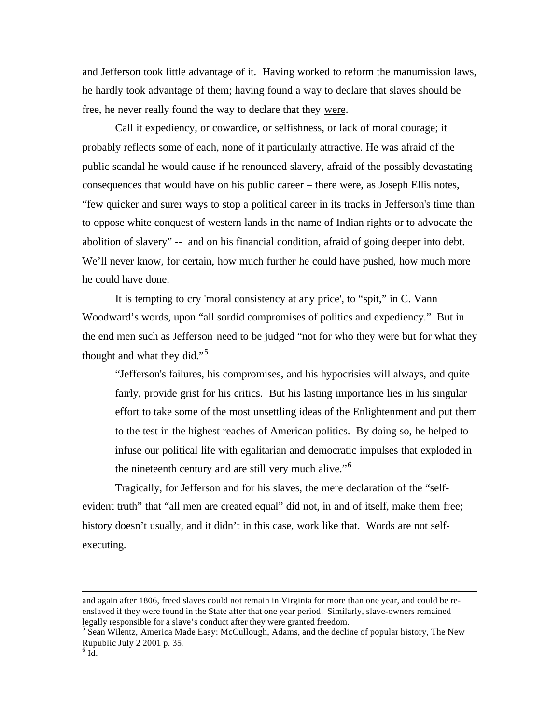and Jefferson took little advantage of it. Having worked to reform the manumission laws, he hardly took advantage of them; having found a way to declare that slaves should be free, he never really found the way to declare that they were.

Call it expediency, or cowardice, or selfishness, or lack of moral courage; it probably reflects some of each, none of it particularly attractive. He was afraid of the public scandal he would cause if he renounced slavery, afraid of the possibly devastating consequences that would have on his public career – there were, as Joseph Ellis notes, "few quicker and surer ways to stop a political career in its tracks in Jefferson's time than to oppose white conquest of western lands in the name of Indian rights or to advocate the abolition of slavery" -- and on his financial condition, afraid of going deeper into debt. We'll never know, for certain, how much further he could have pushed, how much more he could have done.

It is tempting to cry 'moral consistency at any price', to "spit," in C. Vann Woodward's words, upon "all sordid compromises of politics and expediency." But in the end men such as Jefferson need to be judged "not for who they were but for what they thought and what they did."<sup>5</sup>

"Jefferson's failures, his compromises, and his hypocrisies will always, and quite fairly, provide grist for his critics. But his lasting importance lies in his singular effort to take some of the most unsettling ideas of the Enlightenment and put them to the test in the highest reaches of American politics. By doing so, he helped to infuse our political life with egalitarian and democratic impulses that exploded in the nineteenth century and are still very much alive."<sup>6</sup>

Tragically, for Jefferson and for his slaves, the mere declaration of the "selfevident truth" that "all men are created equal" did not, in and of itself, make them free; history doesn't usually, and it didn't in this case, work like that. Words are not selfexecuting.

l

and again after 1806, freed slaves could not remain in Virginia for more than one year, and could be reenslaved if they were found in the State after that one year period. Similarly, slave-owners remained legally responsible for a slave's conduct after they were granted freedom.

<sup>&</sup>lt;sup>5</sup> Sean Wilentz, America Made Easy: McCullough, Adams, and the decline of popular history, The New Rupublic July 2 2001 p. 35.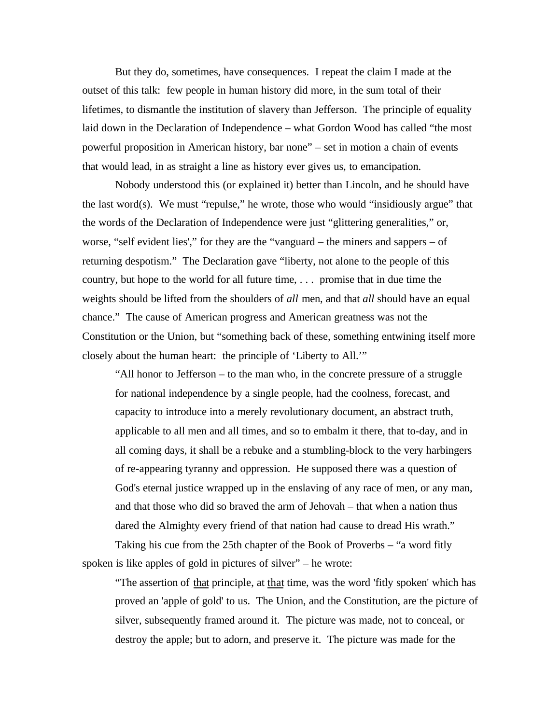But they do, sometimes, have consequences. I repeat the claim I made at the outset of this talk: few people in human history did more, in the sum total of their lifetimes, to dismantle the institution of slavery than Jefferson. The principle of equality laid down in the Declaration of Independence – what Gordon Wood has called "the most powerful proposition in American history, bar none" – set in motion a chain of events that would lead, in as straight a line as history ever gives us, to emancipation.

Nobody understood this (or explained it) better than Lincoln, and he should have the last word(s). We must "repulse," he wrote, those who would "insidiously argue" that the words of the Declaration of Independence were just "glittering generalities," or, worse, "self evident lies'," for they are the "vanguard – the miners and sappers – of returning despotism." The Declaration gave "liberty, not alone to the people of this country, but hope to the world for all future time, . . . promise that in due time the weights should be lifted from the shoulders of *all* men, and that *all* should have an equal chance." The cause of American progress and American greatness was not the Constitution or the Union, but "something back of these, something entwining itself more closely about the human heart: the principle of 'Liberty to All.'"

"All honor to Jefferson – to the man who, in the concrete pressure of a struggle for national independence by a single people, had the coolness, forecast, and capacity to introduce into a merely revolutionary document, an abstract truth, applicable to all men and all times, and so to embalm it there, that to-day, and in all coming days, it shall be a rebuke and a stumbling-block to the very harbingers of re-appearing tyranny and oppression. He supposed there was a question of God's eternal justice wrapped up in the enslaving of any race of men, or any man, and that those who did so braved the arm of Jehovah – that when a nation thus dared the Almighty every friend of that nation had cause to dread His wrath."

Taking his cue from the 25th chapter of the Book of Proverbs – "a word fitly spoken is like apples of gold in pictures of silver" – he wrote:

"The assertion of that principle, at that time, was the word 'fitly spoken' which has proved an 'apple of gold' to us. The Union, and the Constitution, are the picture of silver, subsequently framed around it. The picture was made, not to conceal, or destroy the apple; but to adorn, and preserve it. The picture was made for the